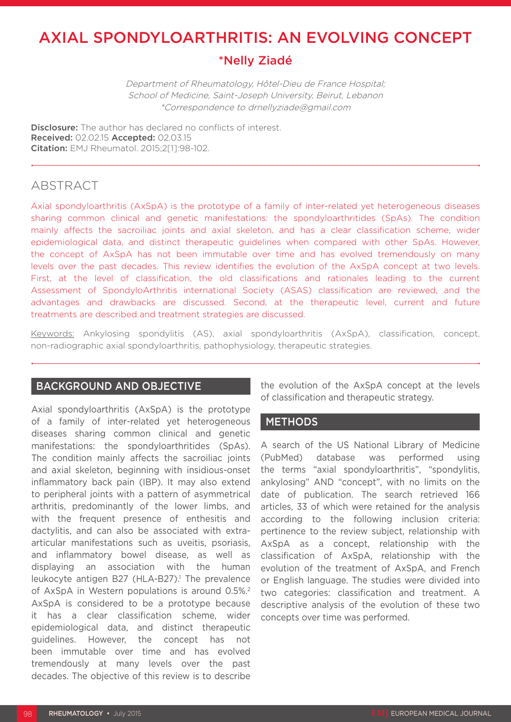# AXIAL SPONDYLOARTHRITIS: AN EVOLVING CONCEPT

# \*Nelly Ziadé

Department of Rheumatology, Hôtel-Dieu de France Hospital; School of Medicine, Saint-Joseph University, Beirut, Lebanon \*Correspondence to drnellyziade@gmail.com

**Disclosure:** The author has declared no conflicts of interest. Received: 02.02.15 Accepted: 02.03.15 Citation: EMJ Rheumatol. 2015;2[1]:98-102.

# ABSTRACT

Axial spondyloarthritis (AxSpA) is the prototype of a family of inter-related yet heterogeneous diseases sharing common clinical and genetic manifestations: the spondyloarthritides (SpAs). The condition mainly affects the sacroiliac joints and axial skeleton, and has a clear classification scheme, wider epidemiological data, and distinct therapeutic guidelines when compared with other SpAs. However, the concept of AxSpA has not been immutable over time and has evolved tremendously on many levels over the past decades. This review identifies the evolution of the AxSpA concept at two levels. First, at the level of classification, the old classifications and rationales leading to the current Assessment of SpondyloArthritis international Society (ASAS) classification are reviewed, and the advantages and drawbacks are discussed. Second, at the therapeutic level, current and future treatments are described and treatment strategies are discussed.

Keywords: Ankylosing spondylitis (AS), axial spondyloarthritis (AxSpA), classification, concept, non-radiographic axial spondyloarthritis, pathophysiology, therapeutic strategies.

## BACKGROUND AND OBJECTIVE

Axial spondyloarthritis (AxSpA) is the prototype of a family of inter-related yet heterogeneous diseases sharing common clinical and genetic manifestations: the spondyloarthritides (SpAs). The condition mainly affects the sacroiliac joints and axial skeleton, beginning with insidious-onset inflammatory back pain (IBP). It may also extend to peripheral joints with a pattern of asymmetrical arthritis, predominantly of the lower limbs, and with the frequent presence of enthesitis and dactylitis, and can also be associated with extraarticular manifestations such as uveitis, psoriasis, and inflammatory bowel disease, as well as displaying an association with the human leukocyte antigen B27 (HLA-B27).<sup>1</sup> The prevalence of AxSpA in Western populations is around 0.5%.2 AxSpA is considered to be a prototype because it has a clear classification scheme, wider epidemiological data, and distinct therapeutic guidelines. However, the concept has not been immutable over time and has evolved tremendously at many levels over the past decades. The objective of this review is to describe

the evolution of the AxSpA concept at the levels of classification and therapeutic strategy.

## METHODS

A search of the US National Library of Medicine (PubMed) database was performed using the terms "axial spondyloarthritis", "spondylitis, ankylosing" AND "concept", with no limits on the date of publication. The search retrieved 166 articles, 33 of which were retained for the analysis according to the following inclusion criteria: pertinence to the review subject, relationship with AxSpA as a concept, relationship with the classification of AxSpA, relationship with the evolution of the treatment of AxSpA, and French or English language. The studies were divided into two categories: classification and treatment. A descriptive analysis of the evolution of these two concepts over time was performed.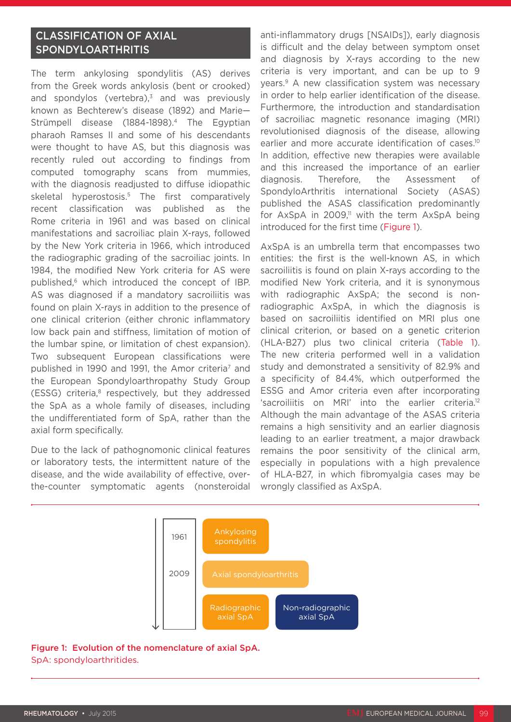# CLASSIFICATION OF AXIAL SPONDYLOARTHRITIS

The term ankylosing spondylitis (AS) derives from the Greek words ankylosis (bent or crooked) and spondylos (vertebra), $3$  and was previously known as Bechterew's disease (1892) and Marie— Strümpell disease (1884-1898).<sup>4</sup> The Egyptian pharaoh Ramses II and some of his descendants were thought to have AS, but this diagnosis was recently ruled out according to findings from computed tomography scans from mummies, with the diagnosis readjusted to diffuse idiopathic skeletal hyperostosis.<sup>5</sup> The first comparatively recent classification was published as the Rome criteria in 1961 and was based on clinical manifestations and sacroiliac plain X-rays, followed by the New York criteria in 1966, which introduced the radiographic grading of the sacroiliac joints. In 1984, the modified New York criteria for AS were published,<sup>6</sup> which introduced the concept of IBP. AS was diagnosed if a mandatory sacroiliitis was found on plain X-rays in addition to the presence of one clinical criterion (either chronic inflammatory low back pain and stiffness, limitation of motion of the lumbar spine, or limitation of chest expansion). Two subsequent European classifications were published in 1990 and 1991, the Amor criteria<sup>7</sup> and the European Spondyloarthropathy Study Group (ESSG) criteria,<sup>8</sup> respectively, but they addressed the SpA as a whole family of diseases, including the undifferentiated form of SpA, rather than the axial form specifically.

Due to the lack of pathognomonic clinical features or laboratory tests, the intermittent nature of the disease, and the wide availability of effective, overthe-counter symptomatic agents (nonsteroidal anti-inflammatory drugs [NSAIDs]), early diagnosis is difficult and the delay between symptom onset and diagnosis by X-rays according to the new criteria is very important, and can be up to 9 years.9 A new classification system was necessary in order to help earlier identification of the disease. Furthermore, the introduction and standardisation of sacroiliac magnetic resonance imaging (MRI) revolutionised diagnosis of the disease, allowing earlier and more accurate identification of cases.<sup>10</sup> In addition, effective new therapies were available and this increased the importance of an earlier diagnosis. Therefore, the Assessment of SpondyloArthritis international Society (ASAS) published the ASAS classification predominantly for  $AxSpA$  in 2009,<sup>11</sup> with the term  $AxSpA$  being introduced for the first time (Figure 1).

AxSpA is an umbrella term that encompasses two entities: the first is the well-known AS, in which sacroiliitis is found on plain X-rays according to the modified New York criteria, and it is synonymous with radiographic AxSpA; the second is nonradiographic AxSpA, in which the diagnosis is based on sacroiliitis identified on MRI plus one clinical criterion, or based on a genetic criterion (HLA-B27) plus two clinical criteria (Table 1). The new criteria performed well in a validation study and demonstrated a sensitivity of 82.9% and a specificity of 84.4%, which outperformed the ESSG and Amor criteria even after incorporating 'sacroiliitis on MRI' into the earlier criteria.12 Although the main advantage of the ASAS criteria remains a high sensitivity and an earlier diagnosis leading to an earlier treatment, a major drawback remains the poor sensitivity of the clinical arm, especially in populations with a high prevalence of HLA-B27, in which fibromyalgia cases may be wrongly classified as AxSpA.



### Figure 1: Evolution of the nomenclature of axial SpA. SpA: spondyloarthritides.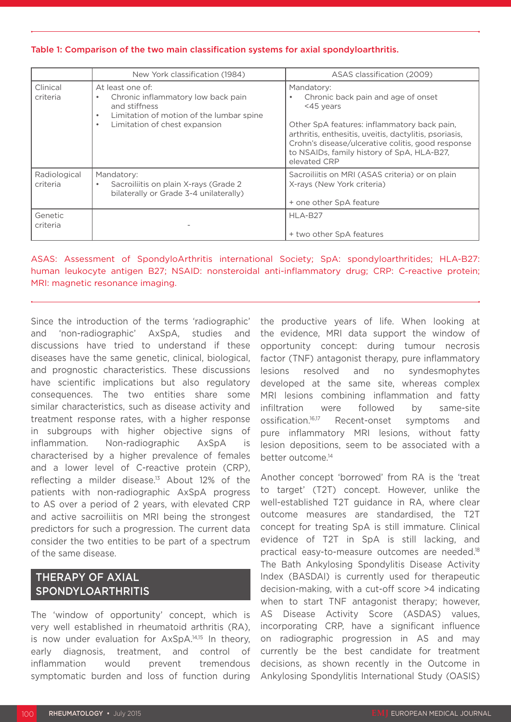#### Table 1: Comparison of the two main classification systems for axial spondyloarthritis.

|                          | New York classification (1984)                                                                                           | ASAS classification (2009)                                                                                                                                                                                               |
|--------------------------|--------------------------------------------------------------------------------------------------------------------------|--------------------------------------------------------------------------------------------------------------------------------------------------------------------------------------------------------------------------|
| Clinical<br>criteria     | At least one of:<br>Chronic inflammatory low back pain<br>and stiffness<br>Limitation of motion of the lumbar spine<br>٠ | Mandatory:<br>Chronic back pain and age of onset<br><45 years                                                                                                                                                            |
|                          | Limitation of chest expansion<br>$\bullet$                                                                               | Other SpA features: inflammatory back pain,<br>arthritis, enthesitis, uveitis, dactylitis, psoriasis,<br>Crohn's disease/ulcerative colitis, good response<br>to NSAIDs, family history of SpA, HLA-B27,<br>elevated CRP |
| Radiological<br>criteria | Mandatory:<br>Sacroiliitis on plain X-rays (Grade 2)<br>bilaterally or Grade 3-4 unilaterally)                           | Sacroiliitis on MRI (ASAS criteria) or on plain<br>X-rays (New York criteria)<br>+ one other SpA feature                                                                                                                 |
| Genetic<br>criteria      |                                                                                                                          | HLA-B27<br>+ two other SpA features                                                                                                                                                                                      |

ASAS: Assessment of SpondyloArthritis international Society; SpA: spondyloarthritides; HLA-B27: human leukocyte antigen B27; NSAID: nonsteroidal anti-inflammatory drug; CRP: C-reactive protein; MRI: magnetic resonance imaging.

Since the introduction of the terms 'radiographic' and 'non-radiographic' AxSpA, studies and discussions have tried to understand if these diseases have the same genetic, clinical, biological, and prognostic characteristics. These discussions have scientific implications but also regulatory consequences. The two entities share some similar characteristics, such as disease activity and treatment response rates, with a higher response in subgroups with higher objective signs of inflammation. Non-radiographic AxSpA is characterised by a higher prevalence of females and a lower level of C-reactive protein (CRP), reflecting a milder disease.13 About 12% of the patients with non-radiographic AxSpA progress to AS over a period of 2 years, with elevated CRP and active sacroiliitis on MRI being the strongest predictors for such a progression. The current data consider the two entities to be part of a spectrum of the same disease.

## THERAPY OF AXIAL SPONDYLOARTHRITIS

The 'window of opportunity' concept, which is very well established in rheumatoid arthritis (RA), is now under evaluation for AxSpA.14,15 In theory, early diagnosis, treatment, and control of inflammation would prevent tremendous symptomatic burden and loss of function during

the productive years of life. When looking at the evidence, MRI data support the window of opportunity concept: during tumour necrosis factor (TNF) antagonist therapy, pure inflammatory lesions resolved and no syndesmophytes developed at the same site, whereas complex MRI lesions combining inflammation and fatty infiltration were followed by same-site ossification.16,17 Recent-onset symptoms and pure inflammatory MRI lesions, without fatty lesion depositions, seem to be associated with a better outcome.14

Another concept 'borrowed' from RA is the 'treat to target' (T2T) concept. However, unlike the well-established T2T guidance in RA, where clear outcome measures are standardised, the T2T concept for treating SpA is still immature. Clinical evidence of T2T in SpA is still lacking, and practical easy-to-measure outcomes are needed.18 The Bath Ankylosing Spondylitis Disease Activity Index (BASDAI) is currently used for therapeutic decision-making, with a cut-off score >4 indicating when to start TNF antagonist therapy; however, AS Disease Activity Score (ASDAS) values, incorporating CRP, have a significant influence on radiographic progression in AS and may currently be the best candidate for treatment decisions, as shown recently in the Outcome in Ankylosing Spondylitis International Study (OASIS)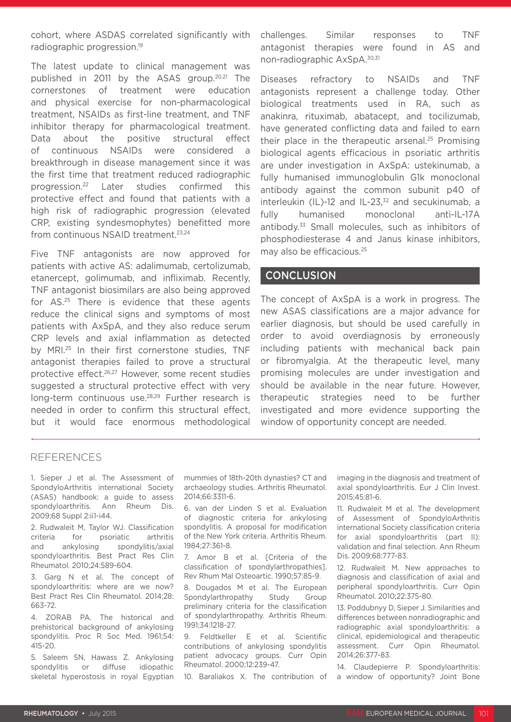cohort, where ASDAS correlated significantly with radiographic progression.19

The latest update to clinical management was published in 2011 by the ASAS group.20,21 The cornerstones of treatment were education and physical exercise for non-pharmacological treatment, NSAIDs as first-line treatment, and TNF inhibitor therapy for pharmacological treatment. Data about the positive structural effect of continuous NSAIDs were considered a breakthrough in disease management since it was the first time that treatment reduced radiographic progression.22 Later studies confirmed this protective effect and found that patients with a high risk of radiographic progression (elevated CRP, existing syndesmophytes) benefitted more from continuous NSAID treatment.<sup>23,24</sup>

Five TNF antagonists are now approved for patients with active AS: adalimumab, certolizumab, etanercept, golimumab, and infliximab. Recently, TNF antagonist biosimilars are also being approved for AS.25 There is evidence that these agents reduce the clinical signs and symptoms of most patients with AxSpA, and they also reduce serum CRP levels and axial inflammation as detected by MRI.25 In their first cornerstone studies, TNF antagonist therapies failed to prove a structural protective effect.26,27 However, some recent studies suggested a structural protective effect with very long-term continuous use.28,29 Further research is needed in order to confirm this structural effect, but it would face enormous methodological

challenges. Similar responses to TNF antagonist therapies were found in AS and non-radiographic AxSpA.30,31

Diseases refractory to NSAIDs and TNF antagonists represent a challenge today. Other biological treatments used in RA, such as anakinra, rituximab, abatacept, and tocilizumab, have generated conflicting data and failed to earn their place in the therapeutic arsenal.<sup>25</sup> Promising biological agents efficacious in psoriatic arthritis are under investigation in AxSpA: ustekinumab, a fully humanised immunoglobulin G1k monoclonal antibody against the common subunit p40 of interleukin (IL)-12 and IL-23, $32$  and secukinumab, a fully humanised monoclonal anti-IL-17A antibody.33 Small molecules, such as inhibitors of phosphodiesterase 4 and Janus kinase inhibitors, may also be efficacious.25

### **CONCLUSION**

The concept of AxSpA is a work in progress. The new ASAS classifications are a major advance for earlier diagnosis, but should be used carefully in order to avoid overdiagnosis by erroneously including patients with mechanical back pain or fibromyalgia. At the therapeutic level, many promising molecules are under investigation and should be available in the near future. However, therapeutic strategies need to be further investigated and more evidence supporting the window of opportunity concept are needed.

#### REFERENCES

1. Sieper J et al. The Assessment of SpondyloArthritis international Society (ASAS) handbook: a guide to assess spondyloarthritis. Ann Rheum Dis. 2009;68 Suppl 2:ii1-i44.

2. Rudwaleit M, Taylor WJ. Classification criteria for psoriatic arthritis and ankylosing spondylitis/axial spondyloarthritis. Best Pract Res Clin Rheumatol. 2010;24:589-604.

3. Garg N et al. The concept of spondyloarthritis: where are we now? Best Pract Res Clin Rheumatol. 2014;28: 663-72.

4. ZORAB PA. The historical and prehistorical background of ankylosing spondylitis. Proc R Soc Med. 1961;54: 415-20.

5. Saleem SN, Hawass Z. Ankylosing spondylitis or diffuse idiopathic skeletal hyperostosis in royal Egyptian mummies of 18th-20th dynasties? CT and archaeology studies. Arthritis Rheumatol. 2014;66:3311-6.

6. van der Linden S et al. Evaluation of diagnostic criteria for ankylosing spondylitis. A proposal for modification of the New York criteria. Arthritis Rheum. 1984;27:361-8.

7. Amor B et al. [Criteria of the classification of spondylarthropathies]. Rev Rhum Mal Osteoartic. 1990;57:85-9.

8. Dougados M et al. The European Spondylarthropathy Study Group preliminary criteria for the classification of spondylarthropathy. Arthritis Rheum. 1991;34:1218-27.

9. Feldtkeller E et al. Scientific contributions of ankylosing spondylitis patient advocacy groups. Curr Opin Rheumatol. 2000;12:239-47.

10. Baraliakos X. The contribution of

imaging in the diagnosis and treatment of axial spondyloarthritis. Eur J Clin Invest. 2015;45:81-6.

11. Rudwaleit M et al. The development of Assessment of SpondyloArthritis international Society classification criteria for axial spondyloarthritis (part II): validation and final selection. Ann Rheum Dis. 2009;68:777-83.

12. Rudwaleit M. New approaches to diagnosis and classification of axial and peripheral spondyloarthritis. Curr Opin Rheumatol. 2010;22:375-80.

13. Poddubnyy D, Sieper J. Similarities and differences between nonradiographic and radiographic axial spondyloarthritis: a clinical, epidemiological and therapeutic assessment. Curr Opin Rheumatol. 2014;26:377-83.

14. Claudepierre P. Spondyloarthritis: a window of opportunity? Joint Bone